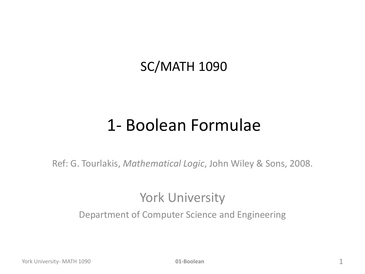#### SC/MATH 1090

#### 1- Boolean Formulae

Ref: G. Tourlakis, *Mathematical Logic*, John Wiley & Sons, 2008.

#### York University

Department of Computer Science and Engineering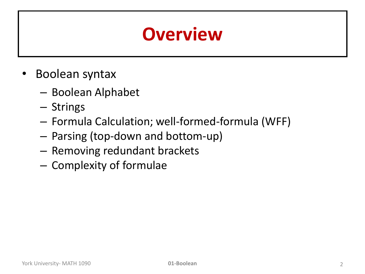### **Overview**

- Boolean syntax
	- Boolean Alphabet
	- Strings
	- Formula Calculation; well-formed-formula (WFF)
	- Parsing (top-down and bottom-up)
	- Removing redundant brackets
	- Complexity of formulae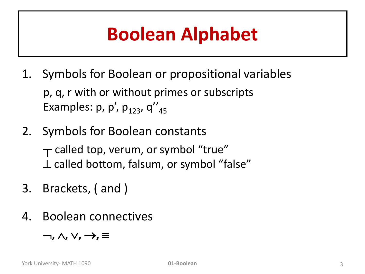## **Boolean Alphabet**

- 1. Symbols for Boolean or propositional variables p, q, r with or without primes or subscripts Examples:  $p$ ,  $p'$ ,  $p_{123}$ ,  $q''_{45}$
- 2. Symbols for Boolean constants  $\tau$  called top, verum, or symbol "true"  $\perp$  called bottom, falsum, or symbol "false"
- 3. Brackets, ( and )
- 4. Boolean connectives

 $\lnot$ ,  $\wedge$ ,  $\vee$ ,  $\rightarrow$ ,  $\equiv$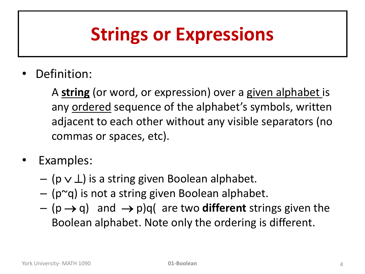## **Strings or Expressions**

Definition:

A **string** (or word, or expression) over a given alphabet is any ordered sequence of the alphabet's symbols, written adjacent to each other without any visible separators (no commas or spaces, etc).

- Examples:
	- $-$  (p  $\vee$   $\perp$ ) is a string given Boolean alphabet.
	- $-$  (p $\approx$ q) is not a string given Boolean alphabet.
	- $-$  (p  $\rightarrow$  q) and  $\rightarrow$  p)q( are two **different** strings given the Boolean alphabet. Note only the ordering is different.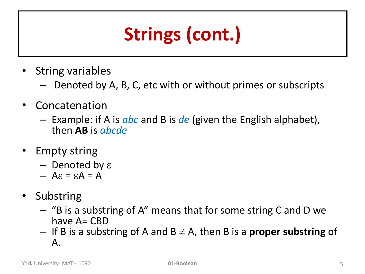# **Strings (cont.)**

- String variables
	- Denoted by A, B, C, etc with or without primes or subscripts
- Concatenation
	- Example: if A is *abc* and B is *de* (given the English alphabet), then **AB** is *abcde*
- **Empty string** 
	- Denoted by  $\varepsilon$
	- $A$   $\epsilon$  =  $\epsilon$  $A = A$
- Substring
	- "B is a substring of A" means that for some string C and D we have A= CBD
	- $-$  If B is a substring of A and B  $\neq$  A, then B is a **proper substring** of A.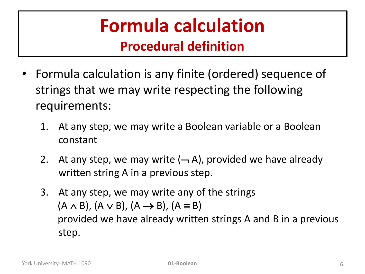## **Formula calculation**

#### **Procedural definition**

- Formula calculation is any finite (ordered) sequence of strings that we may write respecting the following requirements:
	- 1. At any step, we may write a Boolean variable or a Boolean constant
	- 2. At any step, we may write  $(-, A)$ , provided we have already written string A in a previous step.
	- 3. At any step, we may write any of the strings  $(A \wedge B)$ ,  $(A \vee B)$ ,  $(A \rightarrow B)$ ,  $(A \equiv B)$ provided we have already written strings A and B in a previous step.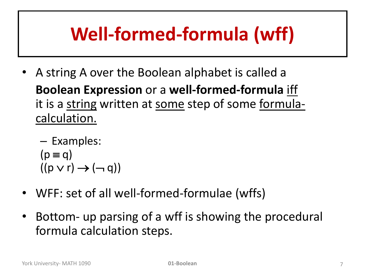## **Well-formed-formula (wff)**

• A string A over the Boolean alphabet is called a **Boolean Expression** or a **well-formed-formula** iff it is a string written at some step of some formulacalculation.

– Examples:  $(p \equiv q)$  $((p \vee r) \rightarrow (\neg q))$ 

- WFF: set of all well-formed-formulae (wffs)
- Bottom- up parsing of a wff is showing the procedural formula calculation steps.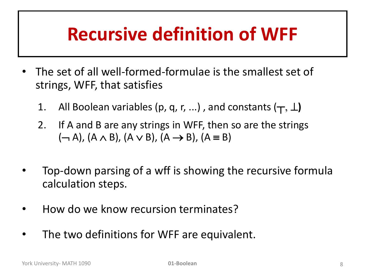## **Recursive definition of WFF**

- The set of all well-formed-formulae is the smallest set of strings, WFF, that satisfies
	- 1. All Boolean variables (p, q, r, ...), and constants  $(\textbf{T}, \perp)$
	- 2. If A and B are any strings in WFF, then so are the strings  $(\neg A)$ ,  $(A \wedge B)$ ,  $(A \vee B)$ ,  $(A \rightarrow B)$ ,  $(A \equiv B)$
- Top-down parsing of a wff is showing the recursive formula calculation steps.
- How do we know recursion terminates?
- The two definitions for WFF are equivalent.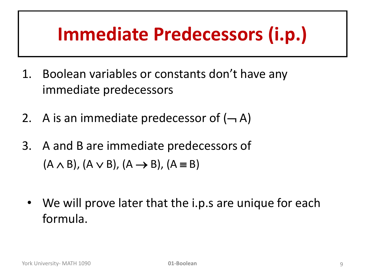## **Immediate Predecessors (i.p.)**

- 1. Boolean variables or constants don't have any immediate predecessors
- 2. A is an immediate predecessor of  $(-A)$
- 3. A and B are immediate predecessors of  $(A \wedge B)$ ,  $(A \vee B)$ ,  $(A \rightarrow B)$ ,  $(A \equiv B)$ 
	- We will prove later that the i.p.s are unique for each formula.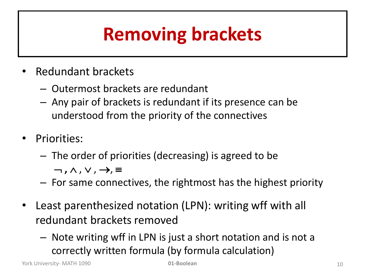## **Removing brackets**

- Redundant brackets
	- Outermost brackets are redundant
	- Any pair of brackets is redundant if its presence can be understood from the priority of the connectives
- Priorities:
	- The order of priorities (decreasing) is agreed to be

 $\neg$ ,  $\wedge$ ,  $\vee$ ,  $\rightarrow$ ,  $\equiv$ 

- For same connectives, the rightmost has the highest priority
- Least parenthesized notation (LPN): writing wff with all redundant brackets removed
	- Note writing wff in LPN is just a short notation and is not a correctly written formula (by formula calculation)

York University- MATH 1090 **01-Boolean** 10